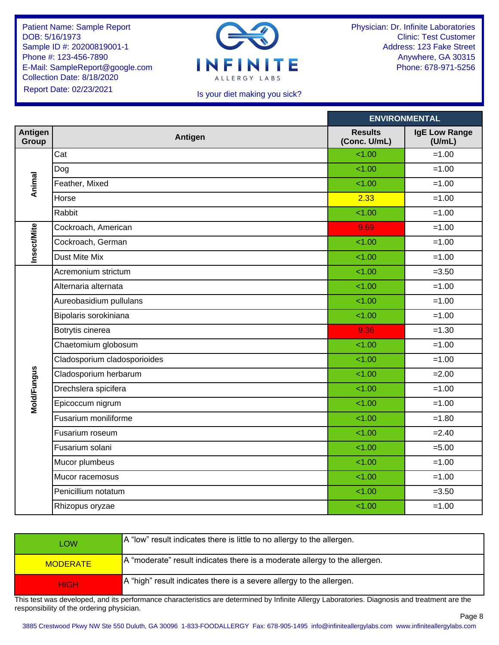

Physician: Dr. Infinite Laboratories Clinic: Test Customer Address: 123 Fake Street Anywhere, GA 30315 Phone: 678-971-5256

#### Is your diet making you sick?

|                         |                              |                                | <b>ENVIRONMENTAL</b>           |
|-------------------------|------------------------------|--------------------------------|--------------------------------|
| <b>Antigen</b><br>Group | Antigen                      | <b>Results</b><br>(Conc. U/mL) | <b>IgE Low Range</b><br>(U/mL) |
|                         | Cat                          | 1.00                           | $=1.00$                        |
|                         | Dog                          | 1.00                           | $=1.00$                        |
| Animal                  | Feather, Mixed               | 1.00                           | $=1.00$                        |
|                         | Horse                        | 2.33                           | $=1.00$                        |
|                         | Rabbit                       | 1.00                           | $=1.00$                        |
|                         | Cockroach, American          | 9.69                           | $=1.00$                        |
| <b>Insect/Mite</b>      | Cockroach, German            | 1.00                           | $=1.00$                        |
|                         | <b>Dust Mite Mix</b>         | 1.00                           | $=1.00$                        |
|                         | Acremonium strictum          | 1.00                           | $= 3.50$                       |
|                         | Alternaria alternata         | 1.00                           | $=1.00$                        |
|                         | Aureobasidium pullulans      | 1.00                           | $=1.00$                        |
|                         | Bipolaris sorokiniana        | 1.00                           | $=1.00$                        |
|                         | Botrytis cinerea             | 9.36                           | $=1.30$                        |
|                         | Chaetomium globosum          | 1.00                           | $=1.00$                        |
|                         | Cladosporium cladosporioides | 1.00                           | $=1.00$                        |
|                         | Cladosporium herbarum        | 1.00                           | $= 2.00$                       |
| Mold/Fungus             | Drechslera spicifera         | 1.00                           | $=1.00$                        |
|                         | Epicoccum nigrum             | 1.00                           | $=1.00$                        |
|                         | Fusarium moniliforme         | 1.00                           | $=1.80$                        |
|                         | Fusarium roseum              | 1.00                           | $= 2.40$                       |
|                         | Fusarium solani              | 1.00                           | $= 5.00$                       |
|                         | Mucor plumbeus               | 1.00                           | $=1.00$                        |
|                         | Mucor racemosus              | 1.00                           | $=1.00$                        |
|                         | Penicillium notatum          | 1.00                           | $= 3.50$                       |
|                         | Rhizopus oryzae              | 1.00                           | $=1.00$                        |
|                         |                              |                                |                                |

| <b>LOW</b>      | A "low" result indicates there is little to no allergy to the allergen.                 |
|-----------------|-----------------------------------------------------------------------------------------|
| <b>MODERATE</b> | $\overline{A}$ "moderate" result indicates there is a moderate allergy to the allergen. |
| <b>HIGH</b>     | A "high" result indicates there is a severe allergy to the allergen.                    |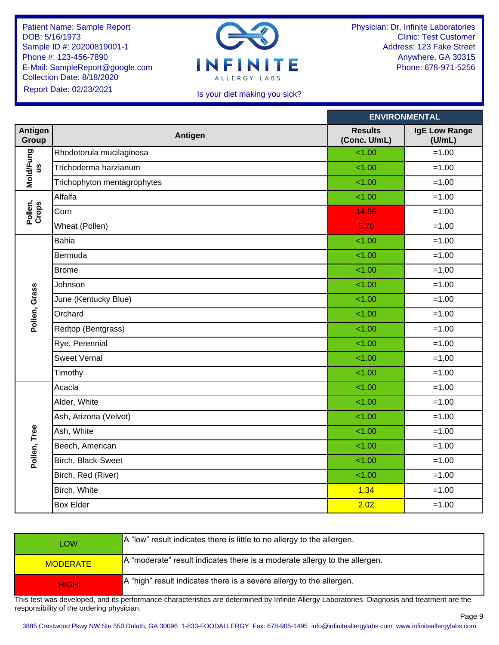

Physician: Dr. Infinite Laboratories Clinic: Test Customer Address: 123 Fake Street Anywhere, GA 30315 Phone: 678-971-5256

## Is your diet making you sick?

|                        |                             |                                | <b>ENVIRONMENTAL</b>           |
|------------------------|-----------------------------|--------------------------------|--------------------------------|
| Antigen<br>Group       | Antigen                     | <b>Results</b><br>(Conc. U/mL) | <b>IgE Low Range</b><br>(U/mL) |
|                        | Rhodotorula mucilaginosa    | 1.00                           | $=1.00$                        |
| Mold/Fung<br><u>ဖွ</u> | Trichoderma harzianum       | 1.00                           | $=1.00$                        |
|                        | Trichophyton mentagrophytes | 1.00                           | $=1.00$                        |
|                        | Alfalfa                     | 1.00                           | $=1.00$                        |
| Pollen,<br>Crops       | Corn                        | 14.56                          | $=1.00$                        |
|                        | Wheat (Pollen)              | 5.70                           | $=1.00$                        |
|                        | Bahia                       | 1.00                           | $=1.00$                        |
|                        | Bermuda                     | 1.00                           | $=1.00$                        |
|                        | <b>Brome</b>                | 1.00                           | $=1.00$                        |
|                        | Johnson                     | 1.00                           | $=1.00$                        |
| Pollen, Grass          | June (Kentucky Blue)        | 1.00                           | $=1.00$                        |
|                        | Orchard                     | 1.00                           | $=1.00$                        |
|                        | Redtop (Bentgrass)          | 1.00                           | $=1.00$                        |
|                        | Rye, Perennial              | 1.00                           | $=1.00$                        |
|                        | <b>Sweet Vernal</b>         | 1.00                           | $=1.00$                        |
|                        | Timothy                     | 1.00                           | $=1.00$                        |
|                        | Acacia                      | 1.00                           | $=1.00$                        |
|                        | Alder, White                | 1.00                           | $=1.00$                        |
|                        | Ash, Arizona (Velvet)       | 1.00                           | $=1.00$                        |
| Pollen, Tree           | Ash, White                  | 1.00                           | $=1.00$                        |
|                        | Beech, American             | 1.00                           | $=1.00$                        |
|                        | Birch, Black-Sweet          | 1.00                           | $=1.00$                        |
|                        | Birch, Red (River)          | 1.00                           | $=1.00$                        |
|                        | Birch, White                | 1.34                           | $=1.00$                        |
|                        | <b>Box Elder</b>            | 2.02                           | $=1.00$                        |
|                        |                             |                                |                                |

| <b>LOW</b>      | A "low" result indicates there is little to no allergy to the allergen.            |
|-----------------|------------------------------------------------------------------------------------|
| <b>MODERATE</b> | $\vert$ A "moderate" result indicates there is a moderate allergy to the allergen. |
| <b>HIGH</b>     | A "high" result indicates there is a severe allergy to the allergen.               |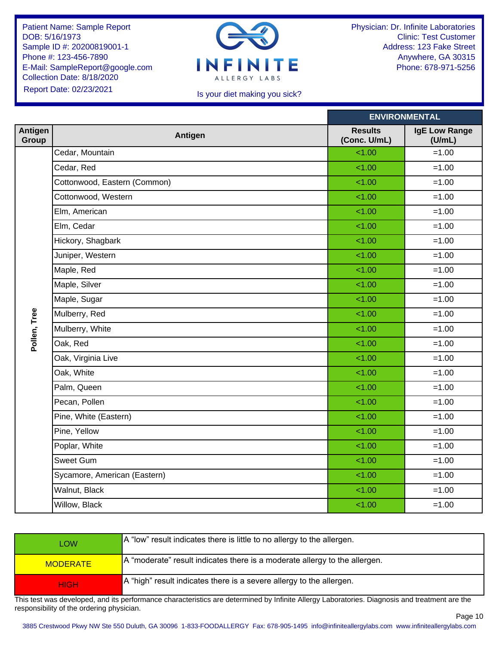

Physician: Dr. Infinite Laboratories Clinic: Test Customer Address: 123 Fake Street Anywhere, GA 30315 Phone: 678-971-5256

Page 10

#### Is your diet making you sick?

|                  |                              |                                | <b>ENVIRONMENTAL</b>    |
|------------------|------------------------------|--------------------------------|-------------------------|
| Antigen<br>Group | Antigen                      | <b>Results</b><br>(Conc. U/mL) | IgE Low Range<br>(U/mL) |
|                  | Cedar, Mountain              | 1.00                           | $=1.00$                 |
|                  | Cedar, Red                   | 1.00                           | $=1.00$                 |
|                  | Cottonwood, Eastern (Common) | 1.00                           | $=1.00$                 |
|                  | Cottonwood, Western          | 1.00                           | $=1.00$                 |
|                  | Elm, American                | 1.00                           | $=1.00$                 |
|                  | Elm, Cedar                   | 1.00                           | $=1.00$                 |
|                  | Hickory, Shagbark            | 1.00                           | $=1.00$                 |
|                  | Juniper, Western             | 1.00                           | $=1.00$                 |
|                  | Maple, Red                   | 1.00                           | $=1.00$                 |
|                  | Maple, Silver                | 1.00                           | $=1.00$                 |
|                  | Maple, Sugar                 | 1.00                           | $=1.00$                 |
| Pollen, Tree     | Mulberry, Red                | 1.00                           | $=1.00$                 |
|                  | Mulberry, White              | 1.00                           | $=1.00$                 |
|                  | Oak, Red                     | 1.00                           | $=1.00$                 |
|                  | Oak, Virginia Live           | 1.00                           | $=1.00$                 |
|                  | Oak, White                   | 1.00                           | $=1.00$                 |
|                  | Palm, Queen                  | 1.00                           | $=1.00$                 |
|                  | Pecan, Pollen                | 1.00                           | $=1.00$                 |
|                  | Pine, White (Eastern)        | 1.00                           | $=1.00$                 |
|                  | Pine, Yellow                 | 1.00                           | $=1.00$                 |
|                  | Poplar, White                | 1.00                           | $=1.00$                 |
|                  | Sweet Gum                    | 1.00                           | $=1.00$                 |
|                  | Sycamore, American (Eastern) | 1.00                           | $=1.00$                 |
|                  | Walnut, Black                | 1.00                           | $=1.00$                 |
|                  | Willow, Black                | 1.00                           | $=1.00$                 |
|                  |                              |                                |                         |

| <b>LOW</b>      | A "low" result indicates there is little to no allergy to the allergen.            |
|-----------------|------------------------------------------------------------------------------------|
| <b>MODERATE</b> | $\vert$ A "moderate" result indicates there is a moderate allergy to the allergen. |
| <b>HIGH</b>     | A "high" result indicates there is a severe allergy to the allergen.               |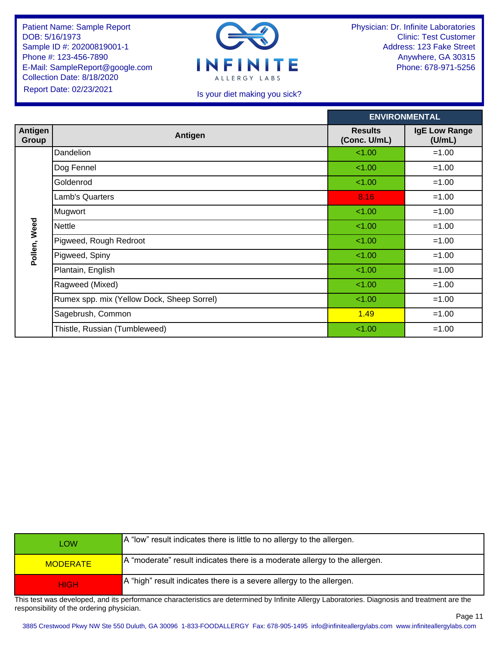

Physician: Dr. Infinite Laboratories Clinic: Test Customer Address: 123 Fake Street Anywhere, GA 30315 Phone: 678-971-5256

## Is your diet making you sick?

| <b>ENVIRONMENTAL</b>           |
|--------------------------------|
| <b>IgE Low Range</b><br>(U/mL) |
| $=1.00$                        |
| $=1.00$                        |
| $=1.00$                        |
| $=1.00$                        |
| $=1.00$                        |
| $=1.00$                        |
| $=1.00$                        |
| $=1.00$                        |
| $=1.00$                        |
| $=1.00$                        |
| $=1.00$                        |
| $=1.00$                        |
| $=1.00$                        |
|                                |

| <b>LOW</b>      | A "low" result indicates there is little to no allergy to the allergen.    |
|-----------------|----------------------------------------------------------------------------|
| <b>MODERATE</b> | A "moderate" result indicates there is a moderate allergy to the allergen. |
| <b>HIGH</b>     | A "high" result indicates there is a severe allergy to the allergen.       |